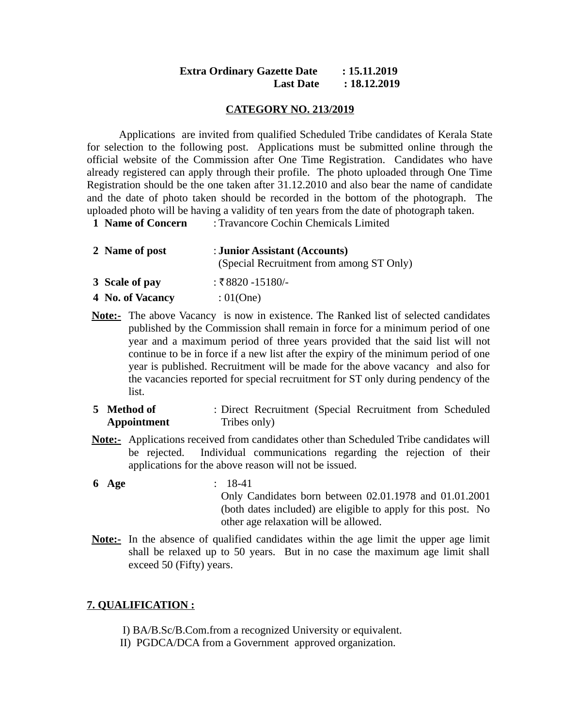# **Extra Ordinary Gazette Date : 15.11.2019 Last Date : 18.12.2019**

### **CATEGORY NO. 213/2019**

Applications are invited from qualified Scheduled Tribe candidates of Kerala State for selection to the following post. Applications must be submitted online through the official website of the Commission after One Time Registration. Candidates who have already registered can apply through their profile. The photo uploaded through One Time Registration should be the one taken after 31.12.2010 and also bear the name of candidate and the date of photo taken should be recorded in the bottom of the photograph. The uploaded photo will be having a validity of ten years from the date of photograph taken.

**1 Name of Concern** : Travancore Cochin Chemicals Limited

| 2 Name of post | : Junior Assistant (Accounts)            |
|----------------|------------------------------------------|
|                | (Special Recruitment from among ST Only) |
| 3 Scale of pay | : ₹8820 -15180/-                         |

- **4 No. of Vacancy** : 01(One)
- **Note:-** The above Vacancy is now in existence. The Ranked list of selected candidates published by the Commission shall remain in force for a minimum period of one year and a maximum period of three years provided that the said list will not continue to be in force if a new list after the expiry of the minimum period of one year is published. Recruitment will be made for the above vacancy and also for the vacancies reported for special recruitment for ST only during pendency of the list.
- **5 Method of Appointment** : Direct Recruitment (Special Recruitment from Scheduled Tribes only)
- **Note:-** Applications received from candidates other than Scheduled Tribe candidates will be rejected. Individual communications regarding the rejection of their applications for the above reason will not be issued.
- **6 Age** : 18-41 Only Candidates born between 02.01.1978 and 01.01.2001 (both dates included) are eligible to apply for this post. No other age relaxation will be allowed.
- **Note:-** In the absence of qualified candidates within the age limit the upper age limit shall be relaxed up to 50 years. But in no case the maximum age limit shall exceed 50 (Fifty) years.

# **7. QUALIFICATION :**

- I) BA/B.Sc/B.Com.from a recognized University or equivalent.
- II) PGDCA/DCA from a Government approved organization.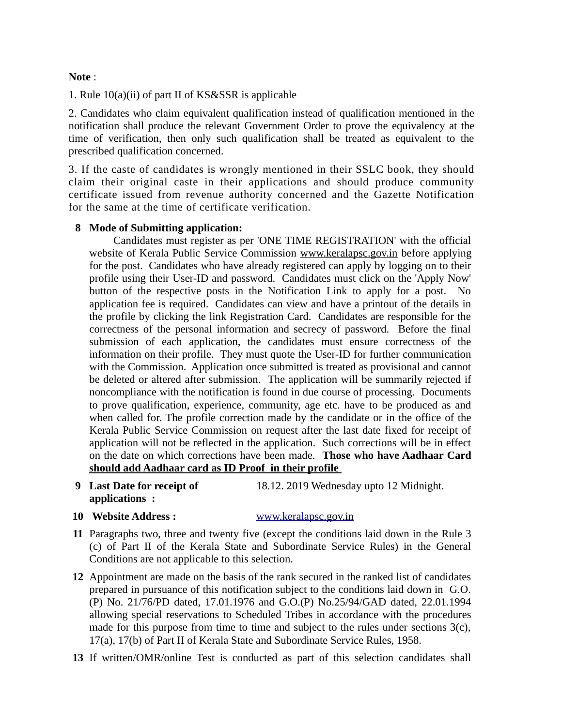# **Note** :

1. Rule 10(a)(ii) of part II of KS&SSR is applicable

2. Candidates who claim equivalent qualification instead of qualification mentioned in the notification shall produce the relevant Government Order to prove the equivalency at the time of verification, then only such qualification shall be treated as equivalent to the prescribed qualification concerned.

3. If the caste of candidates is wrongly mentioned in their SSLC book, they should claim their original caste in their applications and should produce community certificate issued from revenue authority concerned and the Gazette Notification for the same at the time of certificate verification.

# **8 Mode of Submitting application:**

 Candidates must register as per 'ONE TIME REGISTRATION' with the official website of Kerala Public Service Commission [www.keralapsc.gov.in](http://www.keralapsc.gov.in/) before applying for the post. Candidates who have already registered can apply by logging on to their profile using their User-ID and password. Candidates must click on the 'Apply Now' button of the respective posts in the Notification Link to apply for a post. No application fee is required. Candidates can view and have a printout of the details in the profile by clicking the link Registration Card. Candidates are responsible for the correctness of the personal information and secrecy of password. Before the final submission of each application, the candidates must ensure correctness of the information on their profile. They must quote the User-ID for further communication with the Commission. Application once submitted is treated as provisional and cannot be deleted or altered after submission. The application will be summarily rejected if noncompliance with the notification is found in due course of processing. Documents to prove qualification, experience, community, age etc. have to be produced as and when called for. The profile correction made by the candidate or in the office of the Kerala Public Service Commission on request after the last date fixed for receipt of application will not be reflected in the application. Such corrections will be in effect on the date on which corrections have been made. **Those who have Aadhaar Card should add Aadhaar card as ID Proof in their profile** 

**9 Last Date for receipt of applications :**

18.12. 2019 Wednesday upto 12 Midnight.

**10 Website Address :** [www.keralapsc. g](http://www.keralapsc.org/)ov.in

- **11** Paragraphs two, three and twenty five (except the conditions laid down in the Rule 3 (c) of Part II of the Kerala State and Subordinate Service Rules) in the General Conditions are not applicable to this selection.
- **12** Appointment are made on the basis of the rank secured in the ranked list of candidates prepared in pursuance of this notification subject to the conditions laid down in G.O. (P) No. 21/76/PD dated, 17.01.1976 and G.O.(P) No.25/94/GAD dated, 22.01.1994 allowing special reservations to Scheduled Tribes in accordance with the procedures made for this purpose from time to time and subject to the rules under sections 3(c), 17(a), 17(b) of Part II of Kerala State and Subordinate Service Rules, 1958.
- **13** If written/OMR/online Test is conducted as part of this selection candidates shall